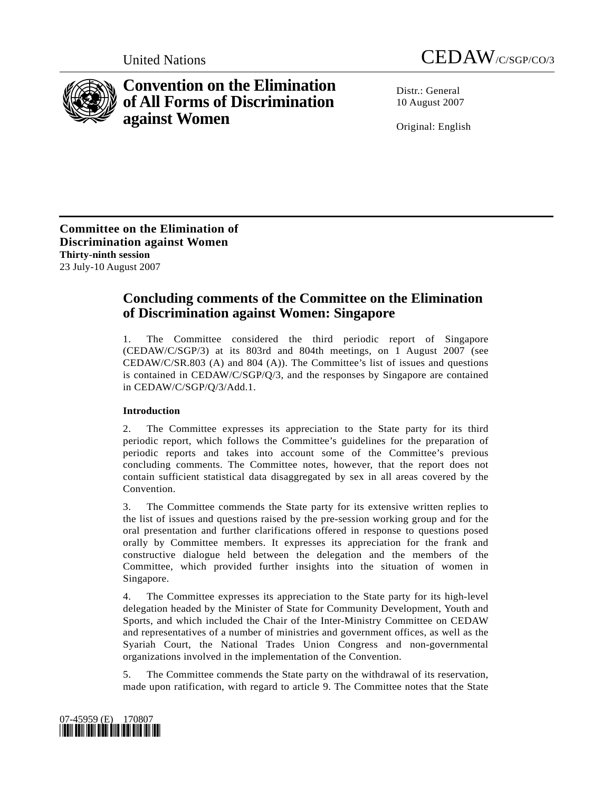



# **Convention on the Elimination of All Forms of Discrimination against Women**

 $Distr: General$ 10 August 2007

Original: English

**Committee on the Elimination of Discrimination against Women Thirty-ninth session**  23 July-10 August 2007

## **Concluding comments of the Committee on the Elimination of Discrimination against Women: Singapore**

1. The Committee considered the third periodic report of Singapore (CEDAW/C/SGP/3) at its 803rd and 804th meetings, on 1 August 2007 (see CEDAW/C/SR.803 (A) and 804 (A)). The Committee's list of issues and questions is contained in CEDAW/C/SGP/Q/3, and the responses by Singapore are contained in CEDAW/C/SGP/Q/3/Add.1.

### **Introduction**

2. The Committee expresses its appreciation to the State party for its third periodic report, which follows the Committee's guidelines for the preparation of periodic reports and takes into account some of the Committee's previous concluding comments. The Committee notes, however, that the report does not contain sufficient statistical data disaggregated by sex in all areas covered by the Convention.

3. The Committee commends the State party for its extensive written replies to the list of issues and questions raised by the pre-session working group and for the oral presentation and further clarifications offered in response to questions posed orally by Committee members. It expresses its appreciation for the frank and constructive dialogue held between the delegation and the members of the Committee, which provided further insights into the situation of women in Singapore.

4. The Committee expresses its appreciation to the State party for its high-level delegation headed by the Minister of State for Community Development, Youth and Sports, and which included the Chair of the Inter-Ministry Committee on CEDAW and representatives of a number of ministries and government offices, as well as the Syariah Court, the National Trades Union Congress and non-governmental organizations involved in the implementation of the Convention.

5. The Committee commends the State party on the withdrawal of its reservation, made upon ratification, with regard to article 9. The Committee notes that the State

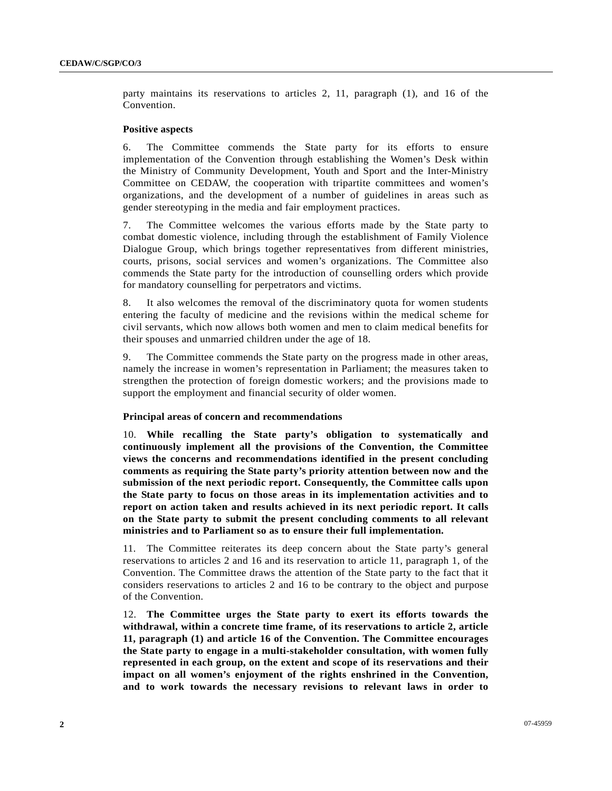party maintains its reservations to articles 2, 11, paragraph (1), and 16 of the Convention.

#### **Positive aspects**

6. The Committee commends the State party for its efforts to ensure implementation of the Convention through establishing the Women's Desk within the Ministry of Community Development, Youth and Sport and the Inter-Ministry Committee on CEDAW, the cooperation with tripartite committees and women's organizations, and the development of a number of guidelines in areas such as gender stereotyping in the media and fair employment practices.

7. The Committee welcomes the various efforts made by the State party to combat domestic violence, including through the establishment of Family Violence Dialogue Group, which brings together representatives from different ministries, courts, prisons, social services and women's organizations. The Committee also commends the State party for the introduction of counselling orders which provide for mandatory counselling for perpetrators and victims.

8. It also welcomes the removal of the discriminatory quota for women students entering the faculty of medicine and the revisions within the medical scheme for civil servants, which now allows both women and men to claim medical benefits for their spouses and unmarried children under the age of 18.

9. The Committee commends the State party on the progress made in other areas, namely the increase in women's representation in Parliament; the measures taken to strengthen the protection of foreign domestic workers; and the provisions made to support the employment and financial security of older women.

#### **Principal areas of concern and recommendations**

10. **While recalling the State party's obligation to systematically and continuously implement all the provisions of the Convention, the Committee views the concerns and recommendations identified in the present concluding comments as requiring the State party's priority attention between now and the submission of the next periodic report. Consequently, the Committee calls upon the State party to focus on those areas in its implementation activities and to report on action taken and results achieved in its next periodic report. It calls on the State party to submit the present concluding comments to all relevant ministries and to Parliament so as to ensure their full implementation.**

11. The Committee reiterates its deep concern about the State party's general reservations to articles 2 and 16 and its reservation to article 11, paragraph 1, of the Convention. The Committee draws the attention of the State party to the fact that it considers reservations to articles 2 and 16 to be contrary to the object and purpose of the Convention.

12. **The Committee urges the State party to exert its efforts towards the withdrawal, within a concrete time frame, of its reservations to article 2, article 11, paragraph (1) and article 16 of the Convention. The Committee encourages the State party to engage in a multi-stakeholder consultation, with women fully represented in each group, on the extent and scope of its reservations and their impact on all women's enjoyment of the rights enshrined in the Convention, and to work towards the necessary revisions to relevant laws in order to**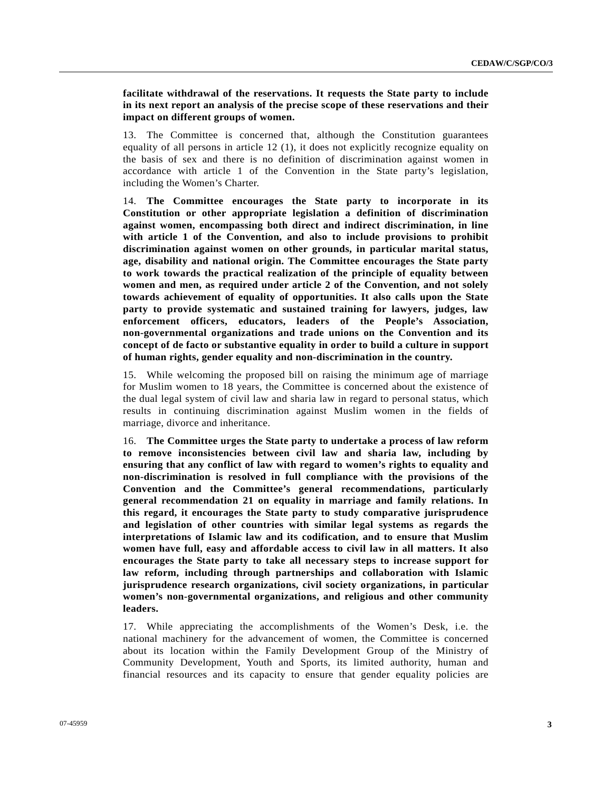**facilitate withdrawal of the reservations. It requests the State party to include in its next report an analysis of the precise scope of these reservations and their impact on different groups of women.** 

13. The Committee is concerned that, although the Constitution guarantees equality of all persons in article 12 (1), it does not explicitly recognize equality on the basis of sex and there is no definition of discrimination against women in accordance with article 1 of the Convention in the State party's legislation, including the Women's Charter.

14. **The Committee encourages the State party to incorporate in its Constitution or other appropriate legislation a definition of discrimination against women, encompassing both direct and indirect discrimination, in line with article 1 of the Convention, and also to include provisions to prohibit discrimination against women on other grounds, in particular marital status, age, disability and national origin. The Committee encourages the State party to work towards the practical realization of the principle of equality between women and men, as required under article 2 of the Convention, and not solely towards achievement of equality of opportunities. It also calls upon the State party to provide systematic and sustained training for lawyers, judges, law enforcement officers, educators, leaders of the People's Association, non-governmental organizations and trade unions on the Convention and its concept of de facto or substantive equality in order to build a culture in support of human rights, gender equality and non-discrimination in the country.**

15. While welcoming the proposed bill on raising the minimum age of marriage for Muslim women to 18 years, the Committee is concerned about the existence of the dual legal system of civil law and sharia law in regard to personal status, which results in continuing discrimination against Muslim women in the fields of marriage, divorce and inheritance.

16. **The Committee urges the State party to undertake a process of law reform to remove inconsistencies between civil law and sharia law, including by ensuring that any conflict of law with regard to women's rights to equality and non-discrimination is resolved in full compliance with the provisions of the Convention and the Committee's general recommendations, particularly general recommendation 21 on equality in marriage and family relations. In this regard, it encourages the State party to study comparative jurisprudence and legislation of other countries with similar legal systems as regards the interpretations of Islamic law and its codification, and to ensure that Muslim women have full, easy and affordable access to civil law in all matters. It also encourages the State party to take all necessary steps to increase support for law reform, including through partnerships and collaboration with Islamic jurisprudence research organizations, civil society organizations, in particular women's non-governmental organizations, and religious and other community leaders.** 

17. While appreciating the accomplishments of the Women's Desk, i.e. the national machinery for the advancement of women, the Committee is concerned about its location within the Family Development Group of the Ministry of Community Development, Youth and Sports, its limited authority, human and financial resources and its capacity to ensure that gender equality policies are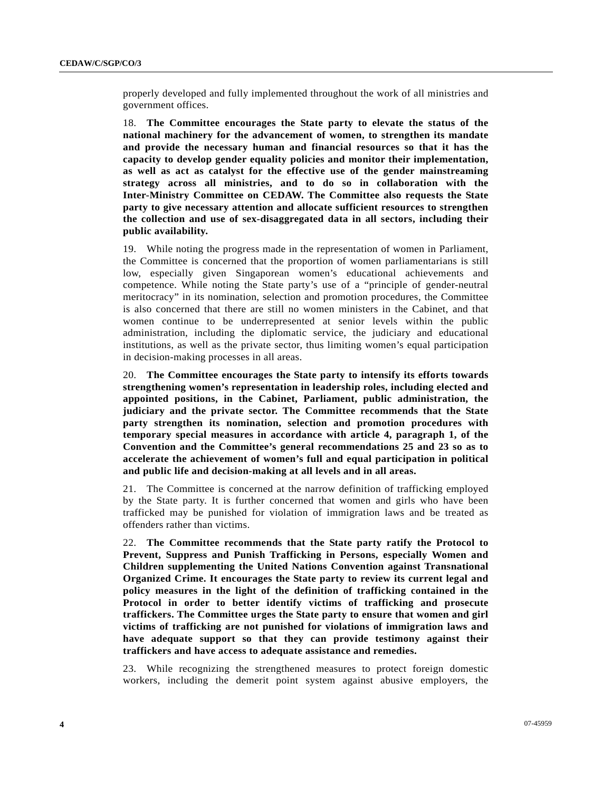properly developed and fully implemented throughout the work of all ministries and government offices.

18. **The Committee encourages the State party to elevate the status of the national machinery for the advancement of women, to strengthen its mandate and provide the necessary human and financial resources so that it has the capacity to develop gender equality policies and monitor their implementation, as well as act as catalyst for the effective use of the gender mainstreaming strategy across all ministries, and to do so in collaboration with the Inter-Ministry Committee on CEDAW. The Committee also requests the State party to give necessary attention and allocate sufficient resources to strengthen the collection and use of sex-disaggregated data in all sectors, including their public availability.**

19. While noting the progress made in the representation of women in Parliament, the Committee is concerned that the proportion of women parliamentarians is still low, especially given Singaporean women's educational achievements and competence. While noting the State party's use of a "principle of gender-neutral meritocracy" in its nomination, selection and promotion procedures, the Committee is also concerned that there are still no women ministers in the Cabinet, and that women continue to be underrepresented at senior levels within the public administration, including the diplomatic service, the judiciary and educational institutions, as well as the private sector, thus limiting women's equal participation in decision-making processes in all areas.

20. **The Committee encourages the State party to intensify its efforts towards strengthening women's representation in leadership roles, including elected and appointed positions, in the Cabinet, Parliament, public administration, the judiciary and the private sector. The Committee recommends that the State party strengthen its nomination, selection and promotion procedures with temporary special measures in accordance with article 4, paragraph 1, of the Convention and the Committee's general recommendations 25 and 23 so as to accelerate the achievement of women's full and equal participation in political and public life and decision-making at all levels and in all areas.** 

21. The Committee is concerned at the narrow definition of trafficking employed by the State party. It is further concerned that women and girls who have been trafficked may be punished for violation of immigration laws and be treated as offenders rather than victims.

22. **The Committee recommends that the State party ratify the Protocol to Prevent, Suppress and Punish Trafficking in Persons, especially Women and Children supplementing the United Nations Convention against Transnational Organized Crime. It encourages the State party to review its current legal and policy measures in the light of the definition of trafficking contained in the Protocol in order to better identify victims of trafficking and prosecute traffickers. The Committee urges the State party to ensure that women and girl victims of trafficking are not punished for violations of immigration laws and have adequate support so that they can provide testimony against their traffickers and have access to adequate assistance and remedies.**

23. While recognizing the strengthened measures to protect foreign domestic workers, including the demerit point system against abusive employers, the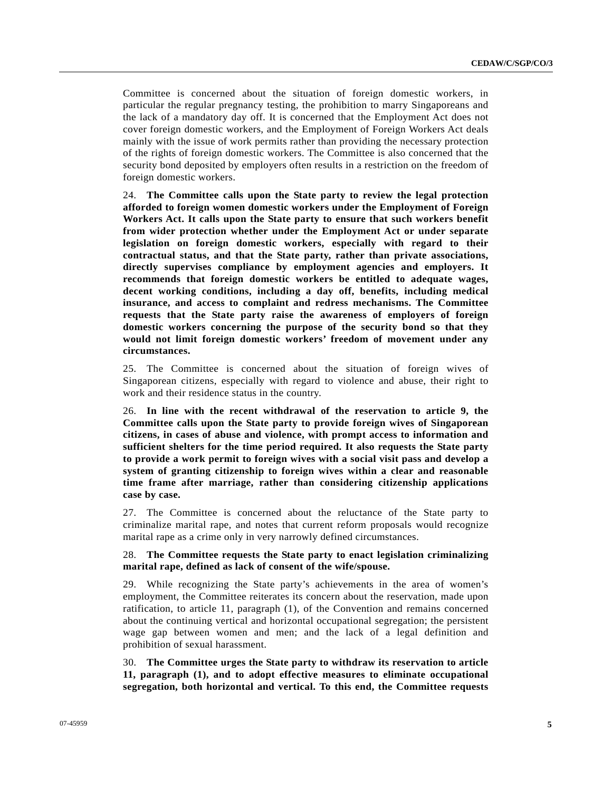Committee is concerned about the situation of foreign domestic workers, in particular the regular pregnancy testing, the prohibition to marry Singaporeans and the lack of a mandatory day off. It is concerned that the Employment Act does not cover foreign domestic workers, and the Employment of Foreign Workers Act deals mainly with the issue of work permits rather than providing the necessary protection of the rights of foreign domestic workers. The Committee is also concerned that the security bond deposited by employers often results in a restriction on the freedom of foreign domestic workers.

24. **The Committee calls upon the State party to review the legal protection afforded to foreign women domestic workers under the Employment of Foreign Workers Act. It calls upon the State party to ensure that such workers benefit from wider protection whether under the Employment Act or under separate legislation on foreign domestic workers, especially with regard to their contractual status, and that the State party, rather than private associations, directly supervises compliance by employment agencies and employers. It recommends that foreign domestic workers be entitled to adequate wages, decent working conditions, including a day off, benefits, including medical insurance, and access to complaint and redress mechanisms. The Committee requests that the State party raise the awareness of employers of foreign domestic workers concerning the purpose of the security bond so that they would not limit foreign domestic workers' freedom of movement under any circumstances.**

25. The Committee is concerned about the situation of foreign wives of Singaporean citizens, especially with regard to violence and abuse, their right to work and their residence status in the country.

26. **In line with the recent withdrawal of the reservation to article 9, the Committee calls upon the State party to provide foreign wives of Singaporean citizens, in cases of abuse and violence, with prompt access to information and sufficient shelters for the time period required. It also requests the State party to provide a work permit to foreign wives with a social visit pass and develop a system of granting citizenship to foreign wives within a clear and reasonable time frame after marriage, rather than considering citizenship applications case by case.**

27. The Committee is concerned about the reluctance of the State party to criminalize marital rape, and notes that current reform proposals would recognize marital rape as a crime only in very narrowly defined circumstances.

#### 28. **The Committee requests the State party to enact legislation criminalizing marital rape, defined as lack of consent of the wife/spouse.**

29. While recognizing the State party's achievements in the area of women's employment, the Committee reiterates its concern about the reservation, made upon ratification, to article 11, paragraph (1), of the Convention and remains concerned about the continuing vertical and horizontal occupational segregation; the persistent wage gap between women and men; and the lack of a legal definition and prohibition of sexual harassment.

30. **The Committee urges the State party to withdraw its reservation to article 11, paragraph (1), and to adopt effective measures to eliminate occupational segregation, both horizontal and vertical. To this end, the Committee requests**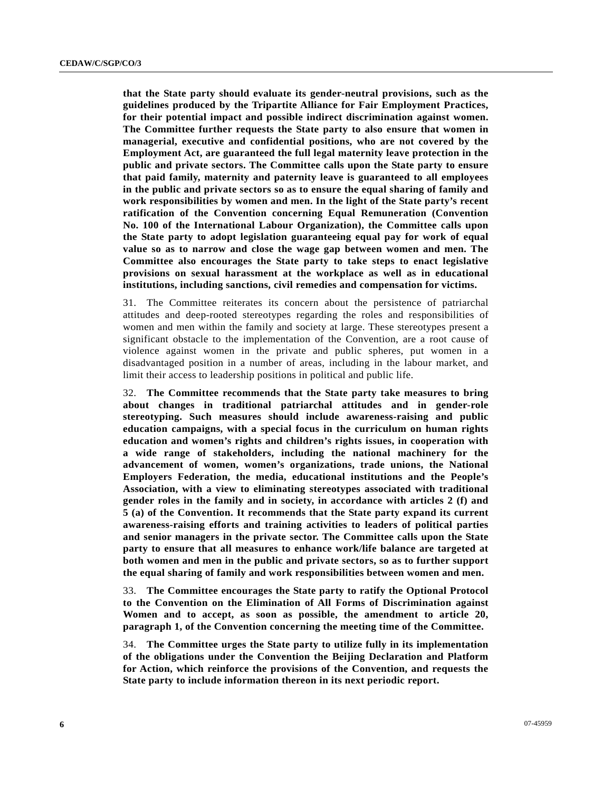**that the State party should evaluate its gender-neutral provisions, such as the guidelines produced by the Tripartite Alliance for Fair Employment Practices, for their potential impact and possible indirect discrimination against women. The Committee further requests the State party to also ensure that women in managerial, executive and confidential positions, who are not covered by the Employment Act, are guaranteed the full legal maternity leave protection in the public and private sectors. The Committee calls upon the State party to ensure that paid family, maternity and paternity leave is guaranteed to all employees in the public and private sectors so as to ensure the equal sharing of family and work responsibilities by women and men. In the light of the State party's recent ratification of the Convention concerning Equal Remuneration (Convention No. 100 of the International Labour Organization), the Committee calls upon the State party to adopt legislation guaranteeing equal pay for work of equal value so as to narrow and close the wage gap between women and men. The Committee also encourages the State party to take steps to enact legislative provisions on sexual harassment at the workplace as well as in educational institutions, including sanctions, civil remedies and compensation for victims.**

31. The Committee reiterates its concern about the persistence of patriarchal attitudes and deep-rooted stereotypes regarding the roles and responsibilities of women and men within the family and society at large. These stereotypes present a significant obstacle to the implementation of the Convention, are a root cause of violence against women in the private and public spheres, put women in a disadvantaged position in a number of areas, including in the labour market, and limit their access to leadership positions in political and public life.

32. **The Committee recommends that the State party take measures to bring about changes in traditional patriarchal attitudes and in gender-role stereotyping. Such measures should include awareness-raising and public education campaigns, with a special focus in the curriculum on human rights education and women's rights and children's rights issues, in cooperation with a wide range of stakeholders, including the national machinery for the advancement of women, women's organizations, trade unions, the National Employers Federation, the media, educational institutions and the People's Association, with a view to eliminating stereotypes associated with traditional gender roles in the family and in society, in accordance with articles 2 (f) and 5 (a) of the Convention. It recommends that the State party expand its current awareness-raising efforts and training activities to leaders of political parties and senior managers in the private sector. The Committee calls upon the State party to ensure that all measures to enhance work/life balance are targeted at both women and men in the public and private sectors, so as to further support the equal sharing of family and work responsibilities between women and men.**

33. **The Committee encourages the State party to ratify the Optional Protocol to the Convention on the Elimination of All Forms of Discrimination against Women and to accept, as soon as possible, the amendment to article 20, paragraph 1, of the Convention concerning the meeting time of the Committee.** 

34. **The Committee urges the State party to utilize fully in its implementation of the obligations under the Convention the Beijing Declaration and Platform for Action, which reinforce the provisions of the Convention, and requests the State party to include information thereon in its next periodic report.**